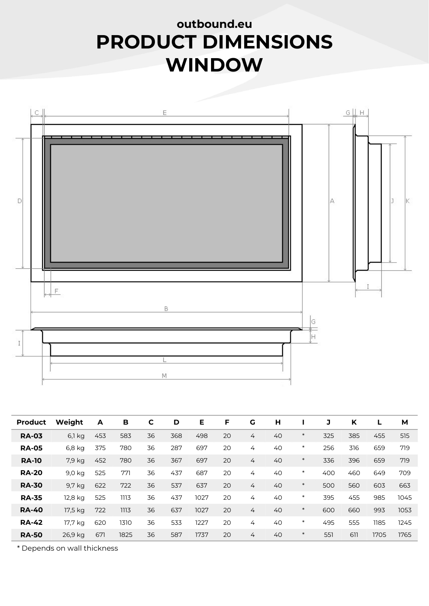## outbound.eu PRODUCT DIMENSIONS WINDOW



|                | L<br>M  |                  |              |             |     |      |    |                |    |        |     |     |      |      |
|----------------|---------|------------------|--------------|-------------|-----|------|----|----------------|----|--------|-----|-----|------|------|
|                |         |                  |              |             |     |      |    |                |    |        |     |     |      |      |
| <b>Product</b> | Weight  | $\boldsymbol{A}$ | $\, {\bf B}$ | $\mathbf C$ | D   | E    | F  | $\mathbf G$    | H  | L      | J   | K   | L    | M    |
| <b>RA-03</b>   | 6,1 kg  | 453              | 583          | 36          | 368 | 498  | 20 | 4              | 40 | $\ast$ | 325 | 385 | 455  | 515  |
| <b>RA-05</b>   | 6,8 kg  | 375              | 780          | 36          | 287 | 697  | 20 | 4              | 40 | $\ast$ | 256 | 316 | 659  | 719  |
| <b>RA-10</b>   | 7,9 kg  | 452              | 780          | 36          | 367 | 697  | 20 | $\overline{4}$ | 40 | $\ast$ | 336 | 396 | 659  | 719  |
| <b>RA-20</b>   | 9,0 kg  | 525              | 771          | 36          | 437 | 687  | 20 | 4              | 40 | $\ast$ | 400 | 460 | 649  | 709  |
| <b>RA-30</b>   | 9,7 kg  | 622              | 722          | 36          | 537 | 637  | 20 | $\overline{4}$ | 40 | $\ast$ | 500 | 560 | 603  | 663  |
| <b>RA-35</b>   | 12,8 kg | 525              | 1113         | 36          | 437 | 1027 | 20 | 4              | 40 | $\ast$ | 395 | 455 | 985  | 1045 |
| <b>RA-40</b>   | 17,5 kg | 722              | 1113         | 36          | 637 | 1027 | 20 | $\overline{4}$ | 40 | $\ast$ | 600 | 660 | 993  | 1053 |
| <b>RA-42</b>   | 17,7 kg | 620              | 1310         | 36          | 533 | 1227 | 20 | 4              | 40 | $\ast$ | 495 | 555 | 1185 | 1245 |
| <b>RA-50</b>   | 26,9 kg | 671              | 1825         | 36          | 587 | 1737 | 20 | $\overline{4}$ | 40 | $\ast$ | 551 | 611 | 1705 | 1765 |